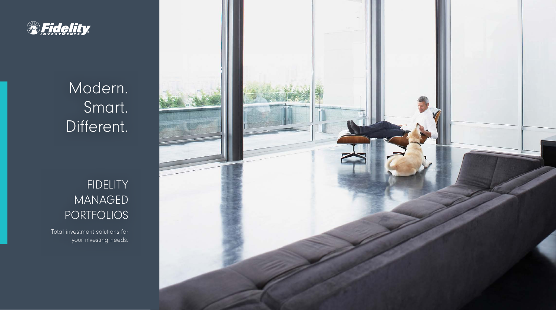

# Modern. Smart. Different.

## FIDELITY **MANAGED** PORTFOLIOS

Total investment solutions for your investing needs.

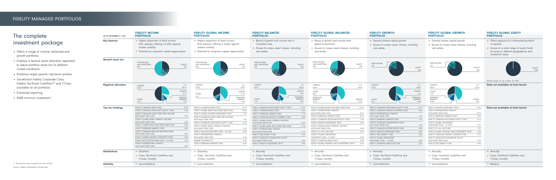#### FIDELITY MANAGED PORTFOLIOS

- Offers a range of income, balanced and growth portfolios.
- Employs a tactical asset allocation approach to adjust portfolio asset mix to different market conditions.
- Portfolios target specific risk/return profiles.
- Tax-efficient Fidelity Corporate Class, Fidelity Tax-Smart CashFlow™ and T-Class available on all portfolios.
- Enhanced reporting.
- \$500 minimum investment.<sup>1</sup>

## The complete investment package

| tfolio         |
|----------------|
| าds<br>nd      |
| EQUITY<br>100% |
|                |
|                |
|                |
|                |
|                |
|                |
|                |
|                |

| AS AT DECEMBER 31, 2021    | <b>FIDELITY INCOME</b><br><b>PORTFOLIO</b>                                                                                                                                                                                                                                                                                                                                                                                                                                                                                                                                                                 | <b>FIDELITY GLOBAL INCOME</b><br><b>PORTFOLIO</b>                                                                                                                                                                                                                                                                                                                                                                                                                                                                                                                      | <b>FIDELITY BALANCED</b><br><b>PORTFOLIO</b>                                                                                                                                                                                                                                                                                                                                                                                                                                                                                                                    | <b>FIDELITY GLOBAL BALANCED</b><br><b>PORTFOLIO</b>                                                                                                                                                                                                                                                                                                                                                                                                                                                                                                              | <b>FIDELITY GROWTH</b><br><b>PORTFOLIO</b>                                                                                                                                                                                                                                                                                                                                                                                                                                                                                                                            | <b>FIDELITY GLOBAL GROWTH</b><br><b>PORTFOLIO</b>                                                                                                                                                                                                                                                                                                                                                                                                                                                                                                              | <b>FIDELITY GLOBAL EQUITY</b><br><b>PORTFOLIO</b>                                                                                                                       |
|----------------------------|------------------------------------------------------------------------------------------------------------------------------------------------------------------------------------------------------------------------------------------------------------------------------------------------------------------------------------------------------------------------------------------------------------------------------------------------------------------------------------------------------------------------------------------------------------------------------------------------------------|------------------------------------------------------------------------------------------------------------------------------------------------------------------------------------------------------------------------------------------------------------------------------------------------------------------------------------------------------------------------------------------------------------------------------------------------------------------------------------------------------------------------------------------------------------------------|-----------------------------------------------------------------------------------------------------------------------------------------------------------------------------------------------------------------------------------------------------------------------------------------------------------------------------------------------------------------------------------------------------------------------------------------------------------------------------------------------------------------------------------------------------------------|------------------------------------------------------------------------------------------------------------------------------------------------------------------------------------------------------------------------------------------------------------------------------------------------------------------------------------------------------------------------------------------------------------------------------------------------------------------------------------------------------------------------------------------------------------------|-----------------------------------------------------------------------------------------------------------------------------------------------------------------------------------------------------------------------------------------------------------------------------------------------------------------------------------------------------------------------------------------------------------------------------------------------------------------------------------------------------------------------------------------------------------------------|----------------------------------------------------------------------------------------------------------------------------------------------------------------------------------------------------------------------------------------------------------------------------------------------------------------------------------------------------------------------------------------------------------------------------------------------------------------------------------------------------------------------------------------------------------------|-------------------------------------------------------------------------------------------------------------------------------------------------------------------------|
| <b>Key features</b>        | • Higher proportion of fixed income<br>than equities, offering a buffer against<br>market volatility.<br>• Potential for long-term capital appreciation.                                                                                                                                                                                                                                                                                                                                                                                                                                                   | • Higher proportion of fixed income<br>than equities, offering a buffer against<br>market volatility.<br>• Potential for long-term capital appreciation.                                                                                                                                                                                                                                                                                                                                                                                                               | • Blend of growth and income with a<br>Canadian bias.<br>• Access to unique asset classes, including<br>real estate.                                                                                                                                                                                                                                                                                                                                                                                                                                            | • Blend of growth and income from<br>global investments.<br>• Access to unique asset classes, including<br>real estate.                                                                                                                                                                                                                                                                                                                                                                                                                                          | • Geared toward capital growth.<br>• Access to unique asset classes, including<br>real estate.                                                                                                                                                                                                                                                                                                                                                                                                                                                                        | • Geared toward capital growth.<br>• Access to unique asset classes, including<br>real estate.                                                                                                                                                                                                                                                                                                                                                                                                                                                                 | • Offers exposure to a diversified portfolio<br>of equities.<br>• Access to a wide range of equity funds<br>focusing on different geographies and<br>investment styles. |
| <b>Neutral asset mix</b>   | <b>FIXED-INCOME</b><br>AND SHORTTERN<br><b>EQUITY</b><br>60%<br>40%                                                                                                                                                                                                                                                                                                                                                                                                                                                                                                                                        | <b>FIXED-INCOME</b><br><b>EQUITY</b><br>AND SHORTTERN<br>40%<br>60%                                                                                                                                                                                                                                                                                                                                                                                                                                                                                                    | <b>FIXED-INCOME</b><br><b>EQUITY</b><br>AND SHORT-TERN<br>40%<br>60%                                                                                                                                                                                                                                                                                                                                                                                                                                                                                            | <b>FIXED-INCOME</b><br><b>EQUITY</b><br>AND SHORTTERM<br>60%<br>40%                                                                                                                                                                                                                                                                                                                                                                                                                                                                                              | <b>FIXED-INCOM</b><br>15%<br><b>EQUITY</b><br>85%                                                                                                                                                                                                                                                                                                                                                                                                                                                                                                                     | <b>FIXED-INCOM</b><br>15%<br>EQUITY<br>85%                                                                                                                                                                                                                                                                                                                                                                                                                                                                                                                     | EQ<br>Neutral asset mix as of May 18, 2022.                                                                                                                             |
| <b>Regional allocation</b> | U.S.<br>CANADA<br>28.1%<br>49.2%<br><b>EUROPE</b><br>8.7%<br><b>EMRGING</b><br>OTHER<br><b>MARKETS</b><br>7.3%<br>6.7%                                                                                                                                                                                                                                                                                                                                                                                                                                                                                     | CANADA<br>U.S.<br>32.0%<br>39.3%<br><b>EUROPE</b><br>12.2%<br><b>OTHER</b><br>6.7%<br><b>MERGING</b><br><b>MARKETS</b><br>9.9%                                                                                                                                                                                                                                                                                                                                                                                                                                         | CANADA<br>U.S.<br>45.9%<br>28.4%<br><b>EUROPE</b><br>9.9%<br><b>EMERGING</b><br><b>OTHER</b><br><b>MARKETS</b><br>7.4%<br>8.4%                                                                                                                                                                                                                                                                                                                                                                                                                                  | CANADA<br>U.S.<br>40.4%<br>25.8%<br><b>OTHER</b><br>8.6%<br><b>EMERGING</b><br><b>EUROPE</b><br><b>MARKETS</b><br>13.3%<br>12.0%                                                                                                                                                                                                                                                                                                                                                                                                                                 | CANADA<br>U.S.<br>47.9%<br>30.8%<br><b>EUROPE</b><br>7.4%<br><b>EMERGING</b><br><b>OTHER</b><br><b>MARKETS</b><br>5.2%<br>8.7%                                                                                                                                                                                                                                                                                                                                                                                                                                        | CANADA<br>U.S<br>42.3%<br>28.6%<br><b>OTHER</b><br>7.4%<br><b>EMERGING</b><br><b>EUROPE</b><br><b>MARKETS</b><br>12.0%<br>9.8%                                                                                                                                                                                                                                                                                                                                                                                                                                 | Data not available at fund launch.                                                                                                                                      |
| Top ten holdings           | FIDELITY CANADIAN BOND FUND<br>15.9%<br>FIDELITY CANADIAN DISCIPLINED EQUITY® FUND<br>9.6%<br>FIDELITY CANADIAN SHORT TERM FIXED INCOME<br>MULTI-ASSET BASE FUND<br>7.4%<br>FIDELITY GLOBAL BOND CURRENCY NEUTRAL<br>MULTI-ASSET BASE FUND<br>6.0%<br>FIDELITY GLOBAL BOND MULTI-ASSET BASE FUND<br>5.3%<br>4.6%<br>FIDELITY EMERGING MARKETS FUND<br>FIDELITY CANADIAN REAL RETURN BOND INDEX<br>MULTI-ASSET BASE FUND<br>4.6%<br>4.5%<br>FIDELITY GLOBAL DIVIDEND INVESTMENT TRUST<br>FIDELITY MULTI-SECTOR BOND FUND - O FUND<br>4.1%<br>FIDELITY INTERNATIONAL GROWTH<br>3.9%<br>MULTI-ASSET BASE FUND | FIDELITY CANADIAN BOND FUND<br>10.1%<br>FIDELITY GLOBAL BOND MULTI-ASSET BASE FUND<br>10.0%<br>FIDELITY GLOBAL DIVIDEND INVESTMENT TRUST<br>7.7%<br>FIDELITY CANADIAN SHORT TERM FIXED INCOME<br>7.6%<br>MULTI-ASSET BASE FUND<br>FIDELITY CANADIAN DISCIPLINED EQUITY® FUND<br>6.1%<br>FIDELITY GLOBAL BOND CURRENCY NEUTRAL<br>MULTI-ASSET BASE FUND<br>5.6%<br>FIDELITY MULTI-SECTOR BOND FUND - O FUND<br>5.4%<br>FIDELITY INTERNATIONAL GROWTH<br>MULTI-ASSET BASE FUND<br>5.2%<br><b>ISHARES TIPS BOND ETF</b><br>4.7%<br>FIDELITY EMERGING MARKETS FUND<br>4.6% | FIDELITY CANADIAN DISCIPLINED EQUITY® FUND<br>12.7%<br>FIDELITY CANADIAN BOND FUND<br>9.5%<br>FIDELITY EMERGING MARKETS FUND<br>7.1%<br>FIDELITY CANADIAN GROWTH COMPANY FUND<br>6.0%<br>FIDELITY GLOBAL BOND CURRENCY NEUTRAL<br>MULTI-ASSET BASE FUND<br>5.4%<br>FIDELITY GLOBAL BOND MULTI-ASSET BASE FUND<br>5.1%<br>FIDELITY INTERNATIONAL GROWTH<br>MULTI-ASSET BASE FUND<br>5.1%<br>FIDELITY TRUE NORTH <sup>®</sup> FUND<br>4.7%<br>FIDELITY CANADIAN FUNDAMENTAL EQUITY<br>MULTI-ASSET BASE FUND<br>4.4%<br>FIDELITY INSIGHTS INVESTMENT TRUST<br>4.4% | FIDELITY GLOBAL BOND MULTI-ASSET BASE FUND<br>10.1%<br>FIDELITY INTERNATIONAL GROWTH<br>MULTI-ASSET BASE FUND<br>8.1%<br>FIDELITY EMERGING MARKETS FUND<br>8.1%<br>FIDELITY CANADIAN DISCIPLINED EQUITY® FUND<br>7.3%<br>FIDELITY INSIGHTS INVESTMENT TRUST<br>6.9%<br>FIDELITY GLOBAL BOND CURRENCY NEUTRAL<br>MULTI-ASSET BASE FUND<br>5.8%<br>FIDELITY U.S. ALL CAP FUND<br>5.7%<br><b>FIDELITY GLOBAL INNOVATORS</b><br>INVESTMENT TRUST - O FUND<br>5.3%<br>FIDELITY CANADIAN BOND FUND<br>5.0%<br>FIDELITY GLOBAL INTRINSIC VALUE INVESTMENT TRUST<br>4.9% | FIDELITY CANADIAN DISCIPLINED EQUITY® FUND<br>17.7%<br>FIDELITY CANADIAN GROWTH COMPANY FUND<br>8.2%<br>FIDELITY INTERNATIONAL GROWTH<br>MULTI-ASSET BASE FUND<br>7.4%<br>FIDELITY EMERGING MARKETS FUND<br>7.1%<br>FIDELITY CANADIAN FUNDAMENTAL EQUITY<br>MULTI-ASSET BASE FUND<br>7.0%<br>FIDELITY CANADIAN OPPORTUNITIES FUND<br>6.8%<br>FIDELITY INSIGHTS INVESTMENT TRUST<br>6.6%<br>FIDELITY TRUE NORTH <sup>®</sup> FUND<br>6.4%<br><b>FIDELITY GLOBAL INNOVATORS</b><br><b>INVESTMENT TRUST - O FUND</b><br>5.8%<br>FIDELITY CANADIAN LARGE CAP FUND<br>5.2% | FIDELITY INSIGHTS INVESTMENT TRUST<br>12.2%<br>FIDELITY INTERNATIONAL GROWTH<br>MULTI-ASSET BASE FUND<br>10.7%<br>9.4%<br>FIDELITY EMERGING MARKETS FUND<br>FIDELITY CANADIAN DISCIPLINED EQUITY® FUND<br>9.1%<br>FIDELITY GLOBAL INNOVATORS<br>INVESTMENT TRUST - O FUND<br>8.2%<br>7.3%<br>FIDELITY U.S. ALL CAP FUND<br>FIDELITY GLOBAL INTRINSIC VALUE INVESTMENT TRUST<br>6.4%<br>4.7%<br>FIDELITY CANADIAN GROWTH COMPANY FUND<br>FIDELITY CANADIAN FUNDAMENTAL EQUITY<br>MULTI-ASSET BASE FUND<br>4.7%<br>FIDELITY TRUE NORTH <sup>®</sup> FUND<br>4.5% | Data not available at fund launch.                                                                                                                                      |
| <b>Distributions</b>       | • Quarterly<br>• Class, Tax-Smart CashFlow and                                                                                                                                                                                                                                                                                                                                                                                                                                                                                                                                                             | • Quarterly<br>• Class, Tax-Smart CashFlow and                                                                                                                                                                                                                                                                                                                                                                                                                                                                                                                         | • Annually<br>• Class, Tax-Smart CashFlow and                                                                                                                                                                                                                                                                                                                                                                                                                                                                                                                   | • Annually<br>• Class, Tax-Smart CashFlow and                                                                                                                                                                                                                                                                                                                                                                                                                                                                                                                    | • Annually<br>• Class, Tax-Smart CashFlow and                                                                                                                                                                                                                                                                                                                                                                                                                                                                                                                         | • Annually<br>• Class, Tax-Smart CashFlow and                                                                                                                                                                                                                                                                                                                                                                                                                                                                                                                  | • Annually<br>• Class, Tax-Smart CashFlow and                                                                                                                           |
| <b>Volatility</b>          | T-Class, monthly<br>• Low-to-Medium                                                                                                                                                                                                                                                                                                                                                                                                                                                                                                                                                                        | T-Class, monthly<br>• Low-to-Medium                                                                                                                                                                                                                                                                                                                                                                                                                                                                                                                                    | T-Class, monthly<br>• Low-to-Medium                                                                                                                                                                                                                                                                                                                                                                                                                                                                                                                             | T-Class, monthly<br>• Low-to-Medium                                                                                                                                                                                                                                                                                                                                                                                                                                                                                                                              | T-Class, monthly<br>• Low-to-Medium                                                                                                                                                                                                                                                                                                                                                                                                                                                                                                                                   | T-Class, monthly<br>• Low-to-Medium                                                                                                                                                                                                                                                                                                                                                                                                                                                                                                                            | T-Class, monthly<br>• Medium                                                                                                                                            |